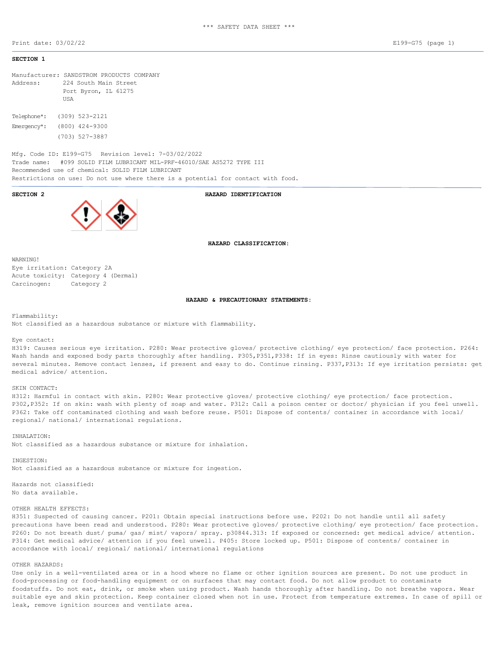Print date: 03/02/22 E199-G75 (page 1)

# **SECTION 1**

Manufacturer: SANDSTROM PRODUCTS COMPANY Address: 224 South Main Street Port Byron, IL 61275 **TISA** Telephone\*: (309) 523-2121 Emergency\*: (800) 424-9300 (703) 527-3887

Mfg. Code ID: E199-G75 Revision level: 7-03/02/2022 Trade name: #099 SOLID FILM LUBRICANT MIL-PRF-46010/SAE AS5272 TYPE III Recommended use of chemical: SOLID FILM LUBRICANT Restrictions on use: Do not use where there is a potential for contact with food.

**SECTION 2 HAZARD IDENTIFICATION**

**HAZARD CLASSIFICATION:**

WARNING! Eye irritation: Category 2A Acute toxicity: Category 4 (Dermal) Carcinogen: Category 2

### **HAZARD & PRECAUTIONARY STATEMENTS:**

Flammability:

Not classified as a hazardous substance or mixture with flammability.

### Eye contact:

H319: Causes serious eye irritation. P280: Wear protective gloves/ protective clothing/ eye protection/ face protection. P264: Wash hands and exposed body parts thoroughly after handling. P305,P351,P338: If in eyes: Rinse cautiously with water for several minutes. Remove contact lenses, if present and easy to do. Continue rinsing. P337,P313: If eye irritation persists: get medical advice/ attention.

## SKIN CONTACT:

H312: Harmful in contact with skin. P280: Wear protective gloves/ protective clothing/ eye protection/ face protection. P302,P352: If on skin: wash with plenty of soap and water. P312: Call a poison center or doctor/ physician if you feel unwell. P362: Take off contaminated clothing and wash before reuse. P501: Dispose of contents/ container in accordance with local/ regional/ national/ international regulations.

INHALATION: Not classified as a hazardous substance or mixture for inhalation.

INGESTION: Not classified as a hazardous substance or mixture for ingestion.

Hazards not classified: No data available.

### OTHER HEALTH EFFECTS:

H351: Suspected of causing cancer. P201: Obtain special instructions before use. P202: Do not handle until all safety precautions have been read and understood. P280: Wear protective gloves/ protective clothing/ eye protection/ face protection. P260: Do not breath dust/ puma/ gas/ mist/ vapors/ spray. p30844.313: If exposed or concerned: get medical advice/ attention. P314: Get medical advice/ attention if you feel unwell. P405: Store locked up. P501: Dispose of contents/ container in accordance with local/ regional/ national/ international regulations

# OTHER HAZARDS:

Use only in a well-ventilated area or in a hood where no flame or other ignition sources are present. Do not use product in food-processing or food-handling equipment or on surfaces that may contact food. Do not allow product to contaminate foodstuffs. Do not eat, drink, or smoke when using product. Wash hands thoroughly after handling. Do not breathe vapors. Wear suitable eye and skin protection. Keep container closed when not in use. Protect from temperature extremes. In case of spill or leak, remove ignition sources and ventilate area.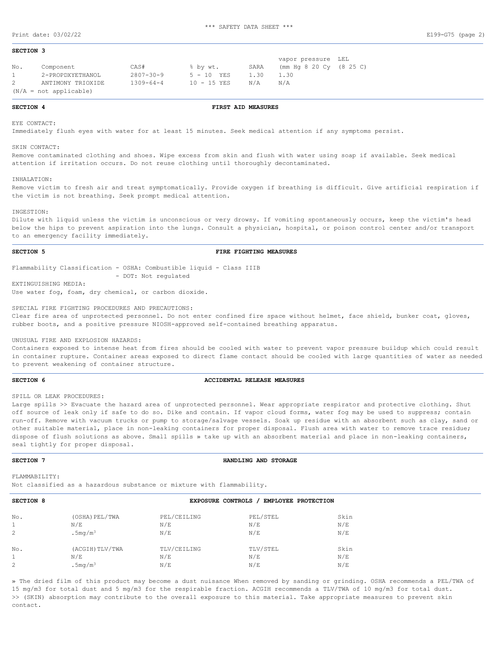### **SECTION 3**

|              |                          |                 |               |      | vapor pressure LEL          |  |
|--------------|--------------------------|-----------------|---------------|------|-----------------------------|--|
| No.          | Component                | CAS#            | % by wt.      | SARA | (mm Hq $8$ 20 Cy $(8$ 25 C) |  |
| $1 \quad$    | 2-PROPDXYETHANOL         | $2807 - 30 - 9$ | $5 - 10$ YES  | 1.30 | -1.30                       |  |
| $\mathbf{2}$ | ANTIMONY TRIOXIDE        | $1309 - 64 - 4$ | $10 - 15$ YES | N/A  | N/A                         |  |
|              | $(N/A = not applicable)$ |                 |               |      |                             |  |

### **SECTION 4 FIRST AID MEASURES**

EYE CONTACT:

Immediately flush eyes with water for at least 15 minutes. Seek medical attention if any symptoms persist.

### SKIN CONTACT:

Remove contaminated clothing and shoes. Wipe excess from skin and flush with water using soap if available. Seek medical attention if irritation occurs. Do not reuse clothing until thoroughly decontaminated.

### INHALATION:

Remove victim to fresh air and treat symptomatically. Provide oxygen if breathing is difficult. Give artificial respiration if the victim is not breathing. Seek prompt medical attention.

### INGESTION:

Dilute with liquid unless the victim is unconscious or very drowsy. If vomiting spontaneously occurs, keep the victim's head below the hips to prevent aspiration into the lungs. Consult a physician, hospital, or poison control center and/or transport to an emergency facility immediately.

## **SECTION 5 FIRE FIGHTING MEASURES**

Flammability Classification - OSHA: Combustible liquid - Class IIIB - DOT: Not regulated

EXTINGUISHING MEDIA: Use water fog, foam, dry chemical, or carbon dioxide.

SPECIAL FIRE FIGHTING PROCEDURES AND PRECAUTIONS:

Clear fire area of unprotected personnel. Do not enter confined fire space without helmet, face shield, bunker coat, gloves, rubber boots, and a positive pressure NIOSH-approved self-contained breathing apparatus.

UNUSUAL FIRE AND EXPLOSION HAZARDS:

Containers exposed to intense heat from fires should be cooled with water to prevent vapor pressure buildup which could result in container rupture. Container areas exposed to direct flame contact should be cooled with large quantities of water as needed to prevent weakening of container structure.

### **SECTION 6 ACCIDENTAL RELEASE MEASURES**

SPILL OR LEAK PROCEDURES:

Large spills >> Evacuate the hazard area of unprotected personnel. Wear appropriate respirator and protective clothing. Shut off source of leak only if safe to do so. Dike and contain. If vapor cloud forms, water fog may be used to suppress; contain run-off. Remove with vacuum trucks or pump to storage/salvage vessels. Soak up residue with an absorbent such as clay, sand or other suitable material, place in non-leaking containers for proper disposal. Flush area with water to remove trace residue; dispose of flush solutions as above. Small spills » take up with an absorbent material and place in non-leaking containers, seal tightly for proper disposal.

### **SECTION 7 HANDLING AND STORAGE**

FLAMMABILITY:

Not classified as a hazardous substance or mixture with flammability.

| SECTION 8 | EMPLOYEE PROTECTION<br><b>EXPOSURE CONTROLS</b> |             |          |      |  |  |
|-----------|-------------------------------------------------|-------------|----------|------|--|--|
| No.       | (OSHA) PEL/TWA                                  | PEL/CEILING | PEL/STEL | Skin |  |  |
|           | N/E                                             | N/E         | N/E      | N/E  |  |  |
|           | .5mg/m <sup>3</sup>                             | N/E         | N/E      | N/E  |  |  |
| No.       | (ACGIH) TLV/TWA                                 | TLV/CEILING | TLV/STEL | Skin |  |  |
|           | N/E                                             | N/E         | N/E      | N/E  |  |  |
|           | .5mg/m <sup>3</sup>                             | N/E         | N/E      | N/E  |  |  |

» The dried film of this product may become a dust nuisance When removed by sanding or grinding. OSHA recommends a PEL/TWA of 15 mg/m3 for total dust and 5 mg/m3 for the respirable fraction. ACGIH recommends a TLV/TWA of 10 mg/m3 for total dust. >> (SKIN) absorption may contribute to the overall exposure to this material. Take appropriate measures to prevent skin contact.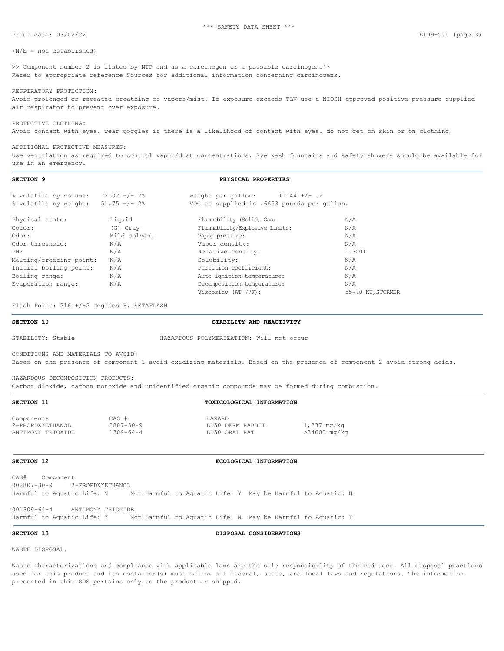Print date: 03/02/22 E199-G75 (page 3)

### $(N/E = not established)$

>> Component number 2 is listed by NTP and as a carcinogen or a possible carcinogen.\*\* Refer to appropriate reference Sources for additional information concerning carcinogens.

RESPIRATORY PROTECTION: Avoid prolonged or repeated breathing of vapors/mist. If exposure exceeds TLV use a NIOSH-approved positive pressure supplied air respirator to prevent over exposure.

PROTECTIVE CLOTHING: Avoid contact with eyes. wear goggles if there is a likelihood of contact with eyes. do not get on skin or on clothing.

### ADDITIONAL PROTECTIVE MEASURES:

Use ventilation as required to control vapor/dust concentrations. Eye wash fountains and safety showers should be available for use in an emergency.

## **SECTION 9 PHYSICAL PROPERTIES**

| % volatile by volume:              | $72.02 +/- 2$ % | weight per gallon: $11.44$ +/-.2            |                   |
|------------------------------------|-----------------|---------------------------------------------|-------------------|
| % volatile by weight: 51.75 +/- 2% |                 | VOC as supplied is .6653 pounds per gallon. |                   |
| Physical state:                    | Liquid          | Flammability (Solid, Gas:                   | N/A               |
| Color:                             | (G) Gray        | Flammability/Explosive Limits:              | N/A               |
| Odor:                              | Mild solvent    | Vapor pressure:                             | N/A               |
| Odor threshold:                    | N/A             | Vapor density:                              | N/A               |
| PH:                                | N/A             | Relative density:                           | 1.3001            |
| Melting/freezing point:            | N/A             | Solubility:                                 | N/A               |
| Initial boiling point:             | N/A             | Partition coefficient:                      | N/A               |
| Boiling range:                     | N/A             | Auto-ignition temperature:                  | N/A               |
| Evaporation range:                 | N/A             | Decomposition temperature:                  | N/A               |
|                                    |                 | Viscosity (AT 77F):                         | 55-70 KU, STORMER |
|                                    |                 |                                             |                   |

Flash Point: 216 +/-2 degrees F. SETAFLASH

**SECTION 10 STABILITY AND REACTIVITY** 

STABILITY: Stable HAZARDOUS POLYMERIZATION: Will not occur

CONDITIONS AND MATERIALS TO AVOID:

Based on the presence of component 1 avoid oxidizing materials. Based on the presence of component 2 avoid strong acids.

HAZARDOUS DECOMPOSITION PRODUCTS:

Carbon dioxide, carbon monoxide and unidentified organic compounds may be formed during combustion.

Components CAS # HAZARD ANTIMONY TRIOXIDE 1309-64-4 LD50 ORAL RAT >34600 mq/kg

# **SECTION 11 TOXICOLOGICAL INFORMATION**

 $2807-30-9$  LD50 DERM RABBIT  $1,337 \text{ mg/kg}$ <br> $1309-64-4$  LD50 ORAL RAT  $>34600 \text{ mg/kg}$ 

# **SECTION 12 ECOLOGICAL INFORMATION**

CAS# Component 002807-30-9 2-PROPDXYETHANOL Harmful to Aquatic Life: N Not Harmful to Aquatic Life: Y May be Harmful to Aquatic: N

001309-64-4 ANTIMONY TRIOXIDE

Harmful to Aquatic Life: Y Mot Harmful to Aquatic Life: N May be Harmful to Aquatic: Y

**SECTION 13 DISPOSAL CONSIDERATIONS**

WASTE DISPOSAL:

Waste characterizations and compliance with applicable laws are the sole responsibility of the end user. All disposal practices used for this product and its container(s) must follow all federal, state, and local laws and regulations. The information presented in this SDS pertains only to the product as shipped.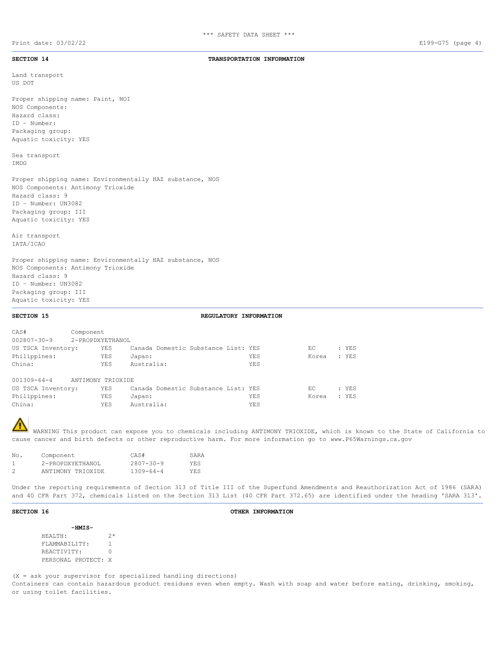**SECTION 14 TRANSPORTATION INFORMATION**

Land transport US DOT Proper shipping name: Paint, NOI

NOS Components: Hazard class: ID – Number: Packaging group: Aquatic toxicity: YES

Sea transport IMDG

Proper shipping name: Environmentally HAZ substance, NOS NOS Components: Antimony Trioxide Hazard class: 9 ID – Number: UN3082 Packaging group: III Aquatic toxicity: YES

Air transport IATA/ICAO

Proper shipping name: Environmentally HAZ substance, NOS NOS Components: Antimony Trioxide Hazard class: 9 ID – Number: UN3082 Packaging group: III Aquatic toxicity: YES

## **SECTION 15 REGULATORY INFORMATION**

| CAS#               | Component         |            |            |                                     |     |       |       |
|--------------------|-------------------|------------|------------|-------------------------------------|-----|-------|-------|
| $002807 - 30 - 9$  | 2-PROPDXYETHANOL  |            |            |                                     |     |       |       |
| US TSCA Inventory: |                   | YES        |            | Canada Domestic Substance List: YES |     | EC    | : YES |
| Philippines:       |                   | YES        | Japan:     |                                     | YES | Korea | : YES |
| China:             |                   | <b>YES</b> | Australia: |                                     | YES |       |       |
| 001309-64-4        | ANTIMONY TRIOXIDE |            |            |                                     |     |       |       |
| US TSCA Inventory: |                   | YES        |            | Canada Domestic Substance List: YES |     | EC    | : YES |
| Philippines:       |                   | <b>YES</b> | Japan:     |                                     | YES | Korea | : YES |
| China:             |                   | YES        | Australia: |                                     | YES |       |       |

WARNING This product can expose you to chemicals including ANTIMONY TRIOXIDE, which is known to the State of California to cause cancer and birth defects or other reproductive harm. For more information go to www.P65Warnings.ca.gov

| No. | Component         | CAS#            | SARA       |
|-----|-------------------|-----------------|------------|
|     | 2-PROPDXYETHANOL  | $2807 - 30 - 9$ | <b>YES</b> |
|     | ANTIMONY TRIOXIDE | $1309 - 64 - 4$ | <b>YES</b> |

Under the reporting requirements of Section 313 of Title III of the Superfund Amendments and Reauthorization Act of 1986 (SARA) and 40 CFR Part 372, chemicals listed on the Section 313 List (40 CFR Part 372.65) are identified under the heading 'SARA 313'.

### **SECTION 16 OTHER INFORMATION**

| -HMIS-              |    |
|---------------------|----|
| HEALTH:             | ク* |
| FLAMMABILITY:       |    |
| REACTIVITY:         | Λ  |
| PERSONAL PROTECT: X |    |

(X = ask your supervisor for specialized handling directions) Containers can contain hazardous product residues even when empty. Wash with soap and water before eating, drinking, smoking, or using toilet facilities.